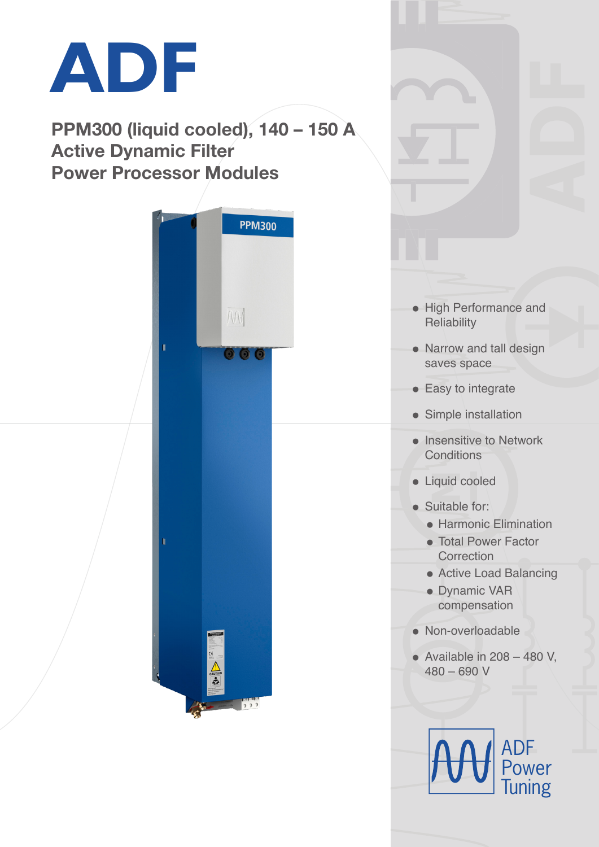

PPM300 (liquid cooled), 140 – 150 A Active Dynamic Filter Power Processor Modules